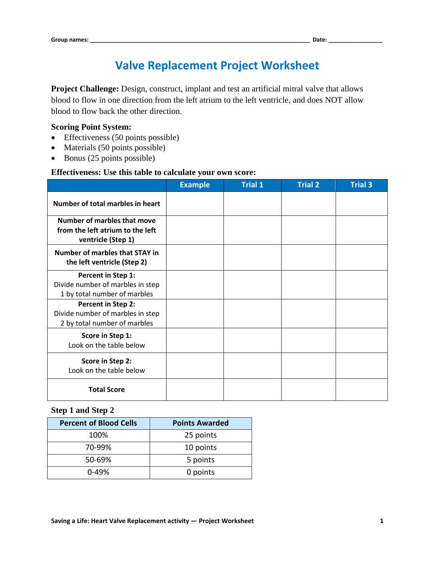# **Valve Replacement Project Worksheet**

**Project Challenge:** Design, construct, implant and test an artificial mitral valve that allows blood to flow in one direction from the left atrium to the left ventricle, and does NOT allow blood to flow back the other direction.

#### **Scoring Point System:**

- Effectiveness (50 points possible)
- Materials (50 points possible)
- Bonus (25 points possible)

#### **Effectiveness: Use this table to calculate your own score:**

|                                                                                              | <b>Example</b> | <b>Trial 1</b> | <b>Trial 2</b> | <b>Trial 3</b> |
|----------------------------------------------------------------------------------------------|----------------|----------------|----------------|----------------|
| Number of total marbles in heart                                                             |                |                |                |                |
| <b>Number of marbles that move</b><br>from the left atrium to the left<br>ventricle (Step 1) |                |                |                |                |
| Number of marbles that STAY in<br>the left ventricle (Step 2)                                |                |                |                |                |
| Percent in Step 1:<br>Divide number of marbles in step<br>1 by total number of marbles       |                |                |                |                |
| Percent in Step 2:<br>Divide number of marbles in step<br>2 by total number of marbles       |                |                |                |                |
| Score in Step 1:<br>Look on the table below                                                  |                |                |                |                |
| Score in Step 2:<br>Look on the table below                                                  |                |                |                |                |
| <b>Total Score</b>                                                                           |                |                |                |                |

## **Step 1 and Step 2**

| <b>Percent of Blood Cells</b> | <b>Points Awarded</b> |
|-------------------------------|-----------------------|
| 100%                          | 25 points             |
| 70-99%                        | 10 points             |
| 50-69%                        | 5 points              |
| $0-49%$                       | 0 points              |